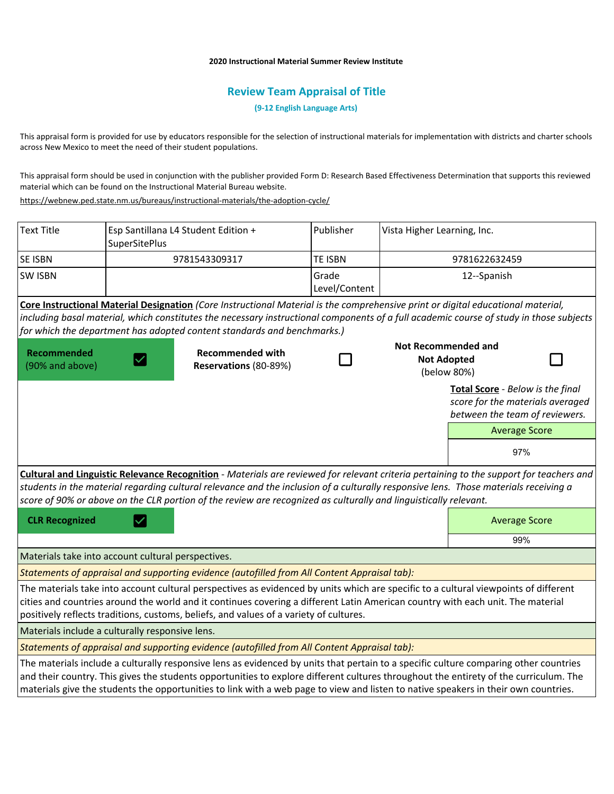## **2020 Instructional Material Summer Review Institute**

## **Review Team Appraisal of Title**

**(9-12 English Language Arts)**

This appraisal form is provided for use by educators responsible for the selection of instructional materials for implementation with districts and charter schools across New Mexico to meet the need of their student populations.

This appraisal form should be used in conjunction with the publisher provided Form D: Research Based Effectiveness Determination that supports this reviewed material which can be found on the Instructional Material Bureau website.

<https://webnew.ped.state.nm.us/bureaus/instructional-materials/the-adoption-cycle/>

| <b>Text Title</b>                                  | SuperSitePlus                                    | Esp Santillana L4 Student Edition +                                                                                                                                                                                                                                                                                                                                                                                   | Publisher              | Vista Higher Learning, Inc.                                     |                                  |                                                                    |
|----------------------------------------------------|--------------------------------------------------|-----------------------------------------------------------------------------------------------------------------------------------------------------------------------------------------------------------------------------------------------------------------------------------------------------------------------------------------------------------------------------------------------------------------------|------------------------|-----------------------------------------------------------------|----------------------------------|--------------------------------------------------------------------|
| SE ISBN                                            |                                                  | 9781543309317                                                                                                                                                                                                                                                                                                                                                                                                         | <b>TE ISBN</b>         | 9781622632459                                                   |                                  |                                                                    |
| <b>SW ISBN</b>                                     |                                                  |                                                                                                                                                                                                                                                                                                                                                                                                                       | Grade<br>Level/Content | 12--Spanish                                                     |                                  |                                                                    |
|                                                    |                                                  | Core Instructional Material Designation (Core Instructional Material is the comprehensive print or digital educational material,<br>including basal material, which constitutes the necessary instructional components of a full academic course of study in those subjects<br>for which the department has adopted content standards and benchmarks.)                                                                |                        |                                                                 |                                  |                                                                    |
| Recommended<br>(90% and above)                     | <b>Recommended with</b><br>Reservations (80-89%) |                                                                                                                                                                                                                                                                                                                                                                                                                       |                        | <b>Not Recommended and</b><br><b>Not Adopted</b><br>(below 80%) |                                  |                                                                    |
|                                                    |                                                  |                                                                                                                                                                                                                                                                                                                                                                                                                       |                        |                                                                 | Total Score - Below is the final | score for the materials averaged<br>between the team of reviewers. |
|                                                    |                                                  |                                                                                                                                                                                                                                                                                                                                                                                                                       |                        |                                                                 |                                  | <b>Average Score</b>                                               |
|                                                    |                                                  |                                                                                                                                                                                                                                                                                                                                                                                                                       |                        |                                                                 |                                  | 97%                                                                |
|                                                    |                                                  | Cultural and Linguistic Relevance Recognition - Materials are reviewed for relevant criteria pertaining to the support for teachers and<br>students in the material regarding cultural relevance and the inclusion of a culturally responsive lens. Those materials receiving a<br>score of 90% or above on the CLR portion of the review are recognized as culturally and linguistically relevant.                   |                        |                                                                 |                                  |                                                                    |
| <b>CLR Recognized</b>                              |                                                  |                                                                                                                                                                                                                                                                                                                                                                                                                       |                        |                                                                 |                                  | <b>Average Score</b>                                               |
|                                                    |                                                  |                                                                                                                                                                                                                                                                                                                                                                                                                       |                        |                                                                 |                                  | 99%                                                                |
| Materials take into account cultural perspectives. |                                                  |                                                                                                                                                                                                                                                                                                                                                                                                                       |                        |                                                                 |                                  |                                                                    |
|                                                    |                                                  | Statements of appraisal and supporting evidence (autofilled from All Content Appraisal tab):                                                                                                                                                                                                                                                                                                                          |                        |                                                                 |                                  |                                                                    |
|                                                    |                                                  | The materials take into account cultural perspectives as evidenced by units which are specific to a cultural viewpoints of different<br>cities and countries around the world and it continues covering a different Latin American country with each unit. The material<br>positively reflects traditions, customs, beliefs, and values of a variety of cultures.                                                     |                        |                                                                 |                                  |                                                                    |
| Materials include a culturally responsive lens.    |                                                  |                                                                                                                                                                                                                                                                                                                                                                                                                       |                        |                                                                 |                                  |                                                                    |
|                                                    |                                                  | Statements of appraisal and supporting evidence (autofilled from All Content Appraisal tab):                                                                                                                                                                                                                                                                                                                          |                        |                                                                 |                                  |                                                                    |
|                                                    |                                                  | The materials include a culturally responsive lens as evidenced by units that pertain to a specific culture comparing other countries<br>and their country. This gives the students opportunities to explore different cultures throughout the entirety of the curriculum. The<br>materials give the students the opportunities to link with a web page to view and listen to native speakers in their own countries. |                        |                                                                 |                                  |                                                                    |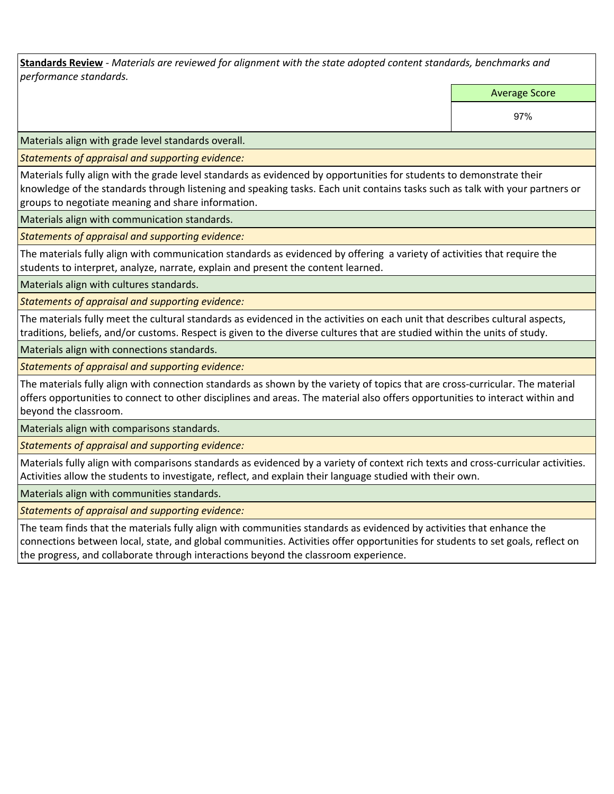**Standards Review** *- Materials are reviewed for alignment with the state adopted content standards, benchmarks and performance standards.*

Average Score

97%

Materials align with grade level standards overall.

*Statements of appraisal and supporting evidence:* 

Materials fully align with the grade level standards as evidenced by opportunities for students to demonstrate their knowledge of the standards through listening and speaking tasks. Each unit contains tasks such as talk with your partners or groups to negotiate meaning and share information.

Materials align with communication standards.

*Statements of appraisal and supporting evidence:* 

The materials fully align with communication standards as evidenced by offering a variety of activities that require the students to interpret, analyze, narrate, explain and present the content learned.

Materials align with cultures standards.

*Statements of appraisal and supporting evidence:* 

The materials fully meet the cultural standards as evidenced in the activities on each unit that describes cultural aspects, traditions, beliefs, and/or customs. Respect is given to the diverse cultures that are studied within the units of study.

Materials align with connections standards.

*Statements of appraisal and supporting evidence:* 

The materials fully align with connection standards as shown by the variety of topics that are cross-curricular. The material offers opportunities to connect to other disciplines and areas. The material also offers opportunities to interact within and beyond the classroom.

Materials align with comparisons standards.

*Statements of appraisal and supporting evidence:* 

Materials fully align with comparisons standards as evidenced by a variety of context rich texts and cross-curricular activities. Activities allow the students to investigate, reflect, and explain their language studied with their own.

Materials align with communities standards.

*Statements of appraisal and supporting evidence:* 

The team finds that the materials fully align with communities standards as evidenced by activities that enhance the connections between local, state, and global communities. Activities offer opportunities for students to set goals, reflect on the progress, and collaborate through interactions beyond the classroom experience.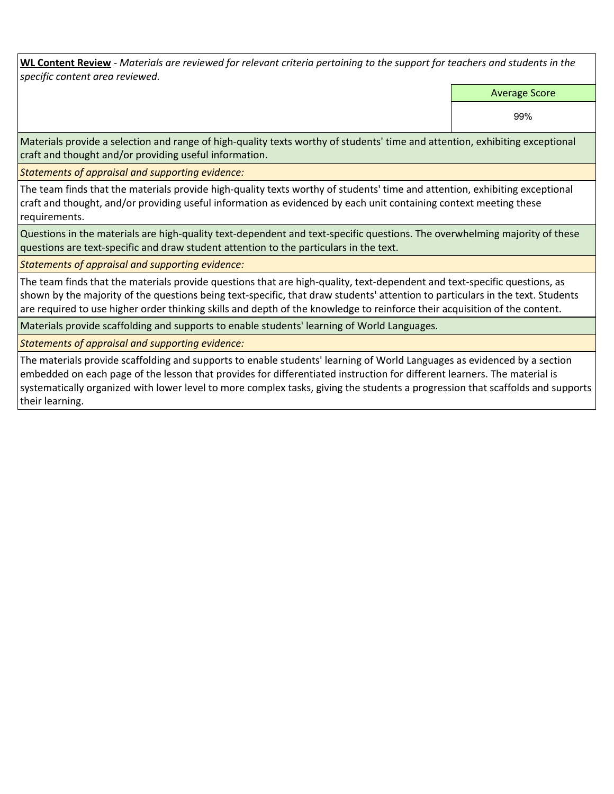**WL Content Review** *- Materials are reviewed for relevant criteria pertaining to the support for teachers and students in the specific content area reviewed.*

Average Score

99%

Materials provide a selection and range of high-quality texts worthy of students' time and attention, exhibiting exceptional craft and thought and/or providing useful information.

*Statements of appraisal and supporting evidence:* 

The team finds that the materials provide high-quality texts worthy of students' time and attention, exhibiting exceptional craft and thought, and/or providing useful information as evidenced by each unit containing context meeting these requirements.

Questions in the materials are high-quality text-dependent and text-specific questions. The overwhelming majority of these questions are text-specific and draw student attention to the particulars in the text.

*Statements of appraisal and supporting evidence:* 

The team finds that the materials provide questions that are high-quality, text-dependent and text-specific questions, as shown by the majority of the questions being text-specific, that draw students' attention to particulars in the text. Students are required to use higher order thinking skills and depth of the knowledge to reinforce their acquisition of the content.

Materials provide scaffolding and supports to enable students' learning of World Languages.

*Statements of appraisal and supporting evidence:* 

The materials provide scaffolding and supports to enable students' learning of World Languages as evidenced by a section embedded on each page of the lesson that provides for differentiated instruction for different learners. The material is systematically organized with lower level to more complex tasks, giving the students a progression that scaffolds and supports their learning.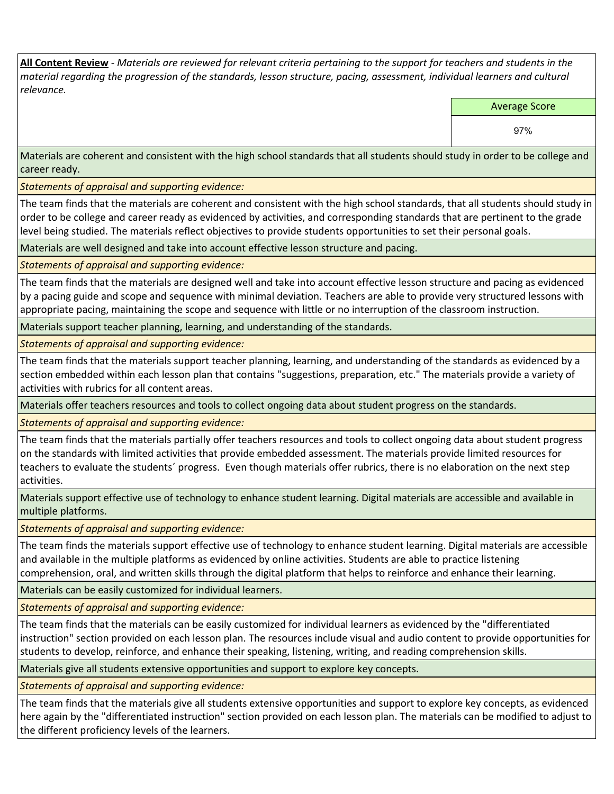**All Content Review** *- Materials are reviewed for relevant criteria pertaining to the support for teachers and students in the material regarding the progression of the standards, lesson structure, pacing, assessment, individual learners and cultural relevance.*

Average Score

97%

Materials are coherent and consistent with the high school standards that all students should study in order to be college and career ready.

*Statements of appraisal and supporting evidence:*

The team finds that the materials are coherent and consistent with the high school standards, that all students should study in order to be college and career ready as evidenced by activities, and corresponding standards that are pertinent to the grade level being studied. The materials reflect objectives to provide students opportunities to set their personal goals.

Materials are well designed and take into account effective lesson structure and pacing.

*Statements of appraisal and supporting evidence:*

The team finds that the materials are designed well and take into account effective lesson structure and pacing as evidenced by a pacing guide and scope and sequence with minimal deviation. Teachers are able to provide very structured lessons with appropriate pacing, maintaining the scope and sequence with little or no interruption of the classroom instruction.

Materials support teacher planning, learning, and understanding of the standards.

*Statements of appraisal and supporting evidence:*

The team finds that the materials support teacher planning, learning, and understanding of the standards as evidenced by a section embedded within each lesson plan that contains "suggestions, preparation, etc." The materials provide a variety of activities with rubrics for all content areas.

Materials offer teachers resources and tools to collect ongoing data about student progress on the standards.

*Statements of appraisal and supporting evidence:*

The team finds that the materials partially offer teachers resources and tools to collect ongoing data about student progress on the standards with limited activities that provide embedded assessment. The materials provide limited resources for teachers to evaluate the students´ progress. Even though materials offer rubrics, there is no elaboration on the next step activities.

Materials support effective use of technology to enhance student learning. Digital materials are accessible and available in multiple platforms.

*Statements of appraisal and supporting evidence:*

The team finds the materials support effective use of technology to enhance student learning. Digital materials are accessible and available in the multiple platforms as evidenced by online activities. Students are able to practice listening comprehension, oral, and written skills through the digital platform that helps to reinforce and enhance their learning.

Materials can be easily customized for individual learners.

*Statements of appraisal and supporting evidence:* 

The team finds that the materials can be easily customized for individual learners as evidenced by the "differentiated instruction" section provided on each lesson plan. The resources include visual and audio content to provide opportunities for students to develop, reinforce, and enhance their speaking, listening, writing, and reading comprehension skills.

Materials give all students extensive opportunities and support to explore key concepts.

*Statements of appraisal and supporting evidence:*

The team finds that the materials give all students extensive opportunities and support to explore key concepts, as evidenced here again by the "differentiated instruction" section provided on each lesson plan. The materials can be modified to adjust to the different proficiency levels of the learners.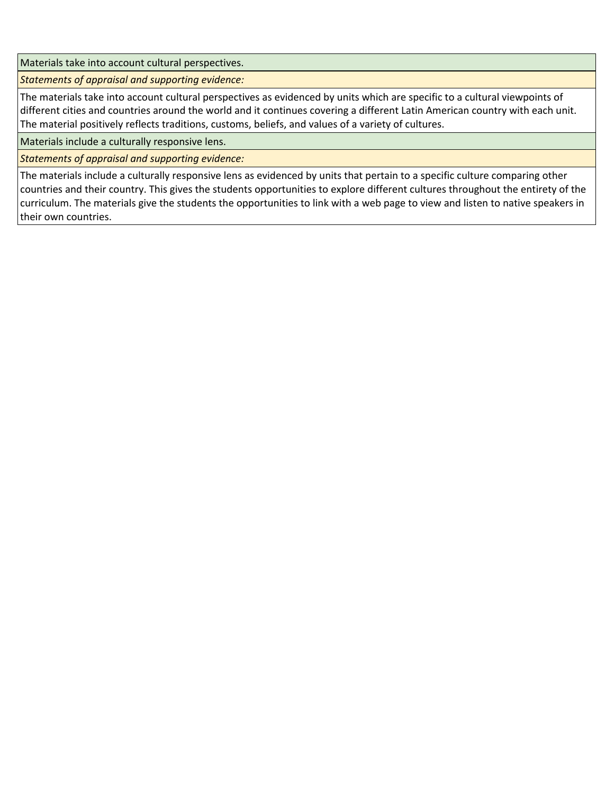Materials take into account cultural perspectives.

*Statements of appraisal and supporting evidence:*

The materials take into account cultural perspectives as evidenced by units which are specific to a cultural viewpoints of different cities and countries around the world and it continues covering a different Latin American country with each unit. The material positively reflects traditions, customs, beliefs, and values of a variety of cultures.

Materials include a culturally responsive lens.

*Statements of appraisal and supporting evidence:*

The materials include a culturally responsive lens as evidenced by units that pertain to a specific culture comparing other countries and their country. This gives the students opportunities to explore different cultures throughout the entirety of the curriculum. The materials give the students the opportunities to link with a web page to view and listen to native speakers in their own countries.